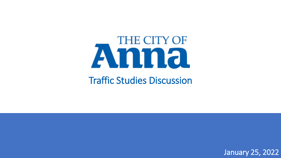# THE CITY OF Amna

Traffic Studies Discussion

January 25, 2022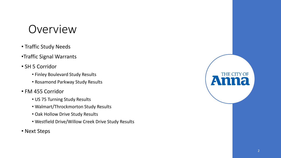#### Overview

- Traffic Study Needs
- •Traffic Signal Warrants
- SH 5 Corridor
	- Finley Boulevard Study Results
	- Rosamond Parkway Study Results
- FM 455 Corridor
	- US 75 Turning Study Results
	- Walmart/Throckmorton Study Results
	- Oak Hollow Drive Study Results
	- Westfield Drive/Willow Creek Drive Study Results
- Next Steps



THE CITY OF THE CITY OF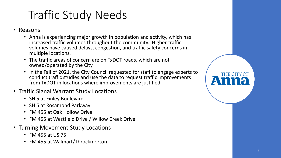## Traffic Study Needs

- Reasons
	- Anna is experiencing major growth in population and activity, which has increased traffic volumes throughout the community. Higher traffic volumes have caused delays, congestion, and traffic safety concerns in multiple locations.
	- The traffic areas of concern are on TxDOT roads, which are not owned/operated by the City.
	- In the Fall of 2021, the City Council requested for staff to engage experts to conduct traffic studies and use the data to request traffic improvements from TxDOT in locations where improvements are justified.
- Traffic Signal Warrant Study Locations
	- SH 5 at Finley Boulevard
	- SH 5 at Rosamond Parkway
	- FM 455 at Oak Hollow Drive
	- FM 455 at Westfield Drive / Willow Creek Drive
- Turning Movement Study Locations
	- FM 455 at US 75
	- FM 455 at Walmart/Throckmorton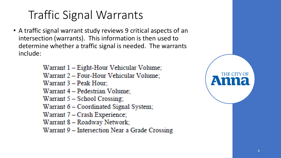## Traffic Signal Warrants

• A traffic signal warrant study reviews 9 critical aspects of an intersection (warrants). This information is then used to determine whether a traffic signal is needed. The warrants include:

> Warrant 1 – Eight-Hour Vehicular Volume; Warrant 2 - Four-Hour Vehicular Volume; Warrant 3 - Peak Hour; Warrant 4 - Pedestrian Volume; Warrant  $5 -$  School Crossing; Warrant 6 – Coordinated Signal System; Warrant 7 - Crash Experience; Warrant 8 - Roadway Network; Warrant 9 – Intersection Near a Grade Crossing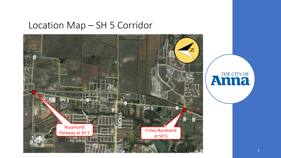#### Location Map – SH 5 Corridor



# **Anna**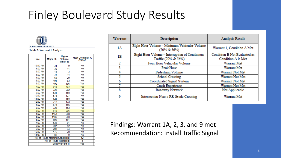### Finley Boulevard Study Results



Table 2. Warrant 1 Analysis

| <b>Time</b> | <b>Major St.</b>                | Higher<br>Volume<br>Minor St. | <b>Meet Condition A</b><br>(70%)? |  |  |  |  |
|-------------|---------------------------------|-------------------------------|-----------------------------------|--|--|--|--|
| 12:00 AM    | 34                              | 9                             | <b>No</b>                         |  |  |  |  |
| 1:00 AM     | 30                              | 11                            | No                                |  |  |  |  |
| 2:00 AM     | 15                              | 3                             | No                                |  |  |  |  |
| 3:00 AM     | 31                              | 14                            | No                                |  |  |  |  |
| 4:00 AM     | 68                              | 29                            | No                                |  |  |  |  |
| 5:00 AM     | 191                             | 83                            | No                                |  |  |  |  |
| 6:00 AM     | 490                             | 196                           | Yes                               |  |  |  |  |
| 7:00 AM     | 948                             | 403                           | Yes                               |  |  |  |  |
| 8:00 AM     | 725                             | 202                           | Yes                               |  |  |  |  |
| 9:00 AM     | 531                             | 158                           | Yes                               |  |  |  |  |
| 10:00 AM    | 573                             | 137                           | No                                |  |  |  |  |
| 11:00 AM    | 625                             | 158                           | Yes                               |  |  |  |  |
| 12:00 PM    | 712                             | 173                           | Yes                               |  |  |  |  |
| 1:00 PM     | 673                             | 156                           | Yes                               |  |  |  |  |
| 2:00 PM     | 728                             | 153                           | Yes                               |  |  |  |  |
| 3:00 PM     | 848                             | 306                           | Yes                               |  |  |  |  |
| 4:00 PM     | 1153                            | 208                           | Yes                               |  |  |  |  |
| 5:00 PM     | 1186                            | 268                           | Yes                               |  |  |  |  |
| 6:00 PM     | 896                             | 161                           | Yes                               |  |  |  |  |
| 7:00 PM     | 536                             | 91                            | No                                |  |  |  |  |
| 8:00 PM     | 397                             | 52                            | No                                |  |  |  |  |
| 9:00 PM     | 208                             | 34                            | No                                |  |  |  |  |
| 10:00 PM    | 175                             | 20                            | No                                |  |  |  |  |
| 11:00 PM    | 82                              | 9                             | No                                |  |  |  |  |
|             | No. of Hours Meeting Condition: |                               | 12                                |  |  |  |  |
|             | No. of Hours Required;          |                               | 8                                 |  |  |  |  |
|             |                                 | <b>Meet Warrant 1:</b>        | Yes                               |  |  |  |  |

| Warrant | <b>Description</b>                                                    | <b>Analysis Result</b>                             |
|---------|-----------------------------------------------------------------------|----------------------------------------------------|
| 1A      | Eight Hour Volume - Minimum Vehicular Volume<br>(70% & 56%)           | Warrant 1, Condition A Met                         |
| 1B      | Eight Hour Volume - Interruption of Continuous<br>Traffic (70% & 56%) | Condition B Not Evaluated as<br>Condition A is Met |
| 2       | Four Hour Vehicular Volume                                            | Warrant Met                                        |
|         | Peak Hour                                                             | Warrant Met                                        |
| 4       | Pedestrian Volume                                                     | Warrant Not Met                                    |
|         | School Crossing                                                       | Warrant Not Met                                    |
| 6       | Coordinated Signal System                                             | Warrant Not Met                                    |
|         | Crash Experience                                                      | Warrant Not Met                                    |
| 8       | Roadway Network                                                       | Not Applicable                                     |
| 9       | Intersection Near a RR Grade Crossing                                 | <b>Warrant Met</b>                                 |

Findings: Warrant 1A, 2, 3, and 9 met Recommendation: Install Traffic Signal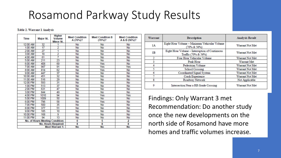### Rosamond Parkway Study Results

#### Table 2. Warrant 1 Analysis

| Time     | Major St.                       | <b>Higher</b><br><b>Volume</b><br><b>Minor St.</b> | <b>Meet Condition</b><br>A (70%)? | <b>Meet Condition B</b><br>(70%)? | <b>Meet Condition</b><br>A & B (56%)? |
|----------|---------------------------------|----------------------------------------------------|-----------------------------------|-----------------------------------|---------------------------------------|
| 12:00 AM | 32                              |                                                    | No                                | <b>No</b>                         | No                                    |
| 1:00 AM  | $\overline{17}$                 | $\overline{2}$                                     | No                                | <b>No</b>                         | No                                    |
| 2:00 AM  | 27                              | 1                                                  | No                                | <b>No</b>                         | No                                    |
| 3:00 AM  | 18                              | $\overline{2}$                                     | No                                | <b>No</b>                         | No                                    |
| 4:00 AM  | 61                              | 7                                                  | No                                | <b>No</b>                         | No                                    |
| 5:00 AM  | 211                             | 23                                                 | No                                | No                                | No                                    |
| 6:00 AM  | 408                             | 69                                                 | No                                | Yes                               | No                                    |
| 7:00 AM  | 987                             | 91                                                 | No                                | Yes                               | Yes                                   |
| 8:00 AM  | 814                             | 62                                                 | No                                | Yes                               | No                                    |
| 9:00 AM  | 447                             | 37                                                 | No                                | No                                | No                                    |
| 10:00 AM | 451                             | 32                                                 | No                                | <b>No</b>                         | No                                    |
| 11:00 AM | 516                             | 29                                                 | No                                | No                                | No                                    |
| 12:00 PM | 593                             | 31                                                 | No                                | <b>No</b>                         | No                                    |
| 1:00 PM  | 513                             | 37                                                 | No                                | <b>No</b>                         | No                                    |
| 2:00 PM  | 631                             | 47                                                 | No                                | No                                | No                                    |
| 3:00 PM  | 844                             | 49                                                 | No                                | <b>No</b>                         | <b>No</b>                             |
| 4:00 PM  | 1010                            | 94                                                 | <b>No</b>                         | Yes                               | Yes                                   |
| 5:00 PM  | 1009                            | 50                                                 | <b>No</b>                         | <b>No</b>                         | No                                    |
| 6:00 PM  | 796                             | 58                                                 | No                                | Yes                               | No                                    |
| 7:00 PM  | 500                             | 35                                                 | No                                | No                                | No                                    |
| 8:00 PM  | 377                             | 51                                                 | No                                | <b>No</b>                         | No                                    |
| 9:00 PM  | 185                             | 10                                                 | No                                | <b>No</b>                         | No                                    |
| 10:00 PM | 168                             | 9                                                  | No                                | No                                | No                                    |
| 11:00 PM | 94                              | $\overline{13}$                                    | No                                | No                                | <b>No</b>                             |
|          | No. of Hours Meeting Condition: |                                                    | 0                                 | 5                                 | 2                                     |
|          |                                 | No. Hours Required:                                | 8                                 | 8                                 | 8                                     |
|          |                                 | <b>Meet Warrant 1:</b>                             | No                                | <b>No</b>                         | No                                    |

| Warrant | <b>Description</b>                                                    | <b>Analysis Result</b> |
|---------|-----------------------------------------------------------------------|------------------------|
| 1A      | Eight Hour Volume - Minimum Vehicular Volume<br>(70% & 56%)           | Warrant Not Met        |
| 1B      | Eight Hour Volume - Interruption of Continuous<br>Traffic (70% & 56%) | Warrant Not Met        |
|         | Four Hour Vehicular Volume                                            | Warrant Not Met        |
|         | Peak Hour                                                             | <b>Warrant Met</b>     |
|         | Pedestrian Volume                                                     | Warrant Not Met        |
|         | School Crossing                                                       | Warrant Not Met        |
| 6       | Coordinated Signal System                                             | Warrant Not Met        |
|         | <b>Crash Experience</b>                                               | Warrant Not Met        |
| 8       | Roadway Network                                                       | Not Applicable         |
| 9       | Intersection Near a RR Grade Crossing                                 | Warrant Not Met        |

Findings: Only Warrant 3 met Recommendation: Do another study once the new developments on the north side of Rosamond have more homes and traffic volumes increase.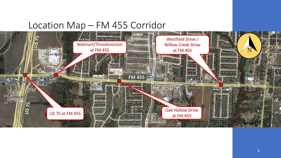#### Location Map – FM 455 Corridor

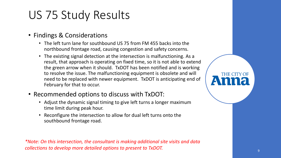### US 75 Study Results

- Findings & Considerations
	- The left turn lane for southbound US 75 from FM 455 backs into the northbound frontage road, causing congestion and safety concerns.
	- The existing signal detection at the intersection is malfunctioning. As a result, that approach is operating on fixed time, so it is not able to extend the green arrow when it should. TxDOT has been notified and is working to resolve the issue. The malfunctioning equipment is obsolete and will need to be replaced with newer equipment. TxDOT is anticipating end of February for that to occur.
- Recommended options to discuss with TxDOT:
	- Adjust the dynamic signal timing to give left turns a longer maximum time limit during peak hour.
	- Reconfigure the intersection to allow for dual left turns onto the southbound frontage road.

*\*Note: On this intersection, the consultant is making additional site visits and data collections to develop more detailed options to present to TxDOT.*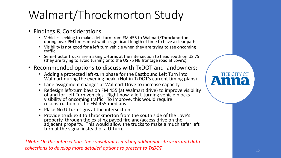# Walmart/Throckmorton Study

- Findings & Considerations
	- Vehicles seeking to make a left turn from FM 455 to Walmart/Throckmorton during peak PM times must wait a significant length of time to have a clear path.
	- Visibility is not good for a left turn vehicle when they are trying to see oncoming traffic.
	- Semi-tractor trucks are making U-turns at the intersection to head south on US 75 (they are trying to avoid turning onto the US 75 NB frontage road at Love's).
- Recommended options to discuss with TxDOT and landowners:
	- Adding a protected left-turn phase for the Eastbound Left Turn into Walmart during the evening peak. (Not in TxDOT's current timing plans)
	- Lane assignment changes at Walmart Drive to increase capacity.
	- Redesign left-turn bays on FM 455 (at Walmart drive) to improve visibility of and for Left Turn vehicles. Right now, a left-turning vehicle blocks visibility of oncoming traffic. To improve, this would require reconstruction of the FM 455 medians.
	- Place No U-turn signs at the intersection.
	- Provide truck exit to Throckmorton from the south side of the Love's property, through the existing paved firelane/access drive on the adjacent property. This would allow the trucks to make a much safer left turn at the signal instead of a U-turn.

*\*Note: On this intersection, the consultant is making additional site visits and data collections to develop more detailed options to present to TxDOT.*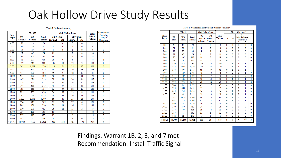### Oak Hollow Drive Study Results

#### Table 1: Volume Summary

| <b>FM 455</b><br>Hour |               |        |               |                  | <b>Oak Hollow Lane</b> | <b>Total</b>     | <b>Pedestrians</b><br>Crossing |               |              |
|-----------------------|---------------|--------|---------------|------------------|------------------------|------------------|--------------------------------|---------------|--------------|
| Begin                 | ЕB            | WB     | <b>Total</b>  | <b>NB Volume</b> |                        | <b>SB Volume</b> |                                | <b>Minor</b>  | Major        |
|                       | <b>Volume</b> | Volume | <b>Volume</b> | <b>Thru/LT</b>   | RT                     | <b>Thru/LT</b>   | RT                             | <b>Volume</b> | Roadway      |
| 0:00                  | 60            | 19     | 79            | 1                | 0                      | 0                | 0                              | 1             | 0            |
| 1:00                  | 31            | 20     | 51            | 4                | 0                      | $\overline{2}$   | $\mathbf{0}$                   | 6             | $\mathbf{0}$ |
| 2:00                  | 12            | 27     | 39            | 4                | 0                      | 1                | 0                              | 5             | $\mathbf{0}$ |
| 3:00                  | 27            | 47     | 74            | 11               | 1                      | $\overline{2}$   | 0                              | 14            | $\mathbf{0}$ |
| 4:00                  | 35            | 107    | 142           | 19               | 1                      | $\overline{2}$   | 0                              | 22            | $\mathbf{0}$ |
| 5:00                  | 68            | 297    | 365           | 38               | 0                      | 5                | 1                              | 44            | 1            |
| 6:00                  | 319           | 615    | 934           | 106              | 13                     | 12               | $\overline{2}$                 | 133           | 0            |
| 7:00                  | 562           | 1.008  | 1.570         | 119              | 61                     | 25               | 17                             | 222           | $\mathbf{0}$ |
| 8:00                  | 518           | 897    | 1.415         | 69               | 37                     | 19               | 18                             | 143           | $\bf{0}$     |
| 9:00                  | 474           | 629    | 1.103         | 45               | 9                      | 18               | 12                             | 84            | $\bf{0}$     |
| 10:00                 | 511           | 589    | 1,100         | 40               | 22                     | 17               | 11                             | 90            | $\mathbf{0}$ |
| 11:00                 | 667           | 686    | 1.353         | 58               | 23                     | 20               | 14                             | 115           | $\bf{0}$     |
| 12:00                 | 729           | 723    | 1.452         | 48               | 32                     | 24               | 15                             | 119           | $\bf{0}$     |
| 13:00                 | 744           | 631    | 1.375         | 49               | 37                     | 17               | 15                             | 118           | 1            |
| 14:00                 | 785           | 666    | 1.451         | 52               | 39                     | 22               | 13                             | 126           | 0            |
| 15:00                 | 895           | 735    | 1,630         | 54               | 36                     | 13               | 8                              | 111           | $\bf{0}$     |
| 16:00                 | 1.171         | 941    | 2.112         | 59               | 36                     | 19               | 11                             | 125           | $\bf{0}$     |
| 17:00                 | 1.322         | 1.038  | 2,360         | 66               | 41                     | 25               | 25                             | 157           | 3            |
| 18:00                 | 994           | 715    | 1.709         | 62               | 26                     | 27               | 6                              | 121           | 0            |
| 19:00                 | 809           | 421    | 1.230         | 30               | 13                     | 16               | 7                              | 66            | $\bf{0}$     |
| 20:00                 | 510           | 270    | 780           | 28               | 12                     | 13               | $\overline{2}$                 | 55            | $\mathbf{0}$ |
| 21:00                 | 337           | 188    | 525           | 19               | 4                      | 14               | 1                              | 38            | $\mathbf{0}$ |
| 22:00                 | 237           | 113    | 350           | 13               | 5                      | 6                | 1                              | 25            | 0            |
| 23:00                 | 142           | 51     | 193           | 5                | $\overline{2}$         | 5                | 0                              | 12            | 0            |
| <b>TOTAL</b>          | 11.959        | 11.433 | 23,392        | 999              | 450                    | 324              | 179                            | 1.952         | 5            |

#### Table 2: Volume for Analysis and Warrant Summary

|               |                     | <b>FM455</b>        |                        |                                | <b>Oak Hollow Lane</b>         |                      | <b>Meets Warrants?</b> |              |   |                                           |                |
|---------------|---------------------|---------------------|------------------------|--------------------------------|--------------------------------|----------------------|------------------------|--------------|---|-------------------------------------------|----------------|
| Hour<br>Begin | EB<br><b>Volume</b> | WB<br><b>Volume</b> | <b>Total</b><br>Volume | NB<br>Thru/LT<br><b>Volume</b> | SB<br>Thru/LT<br><b>Volume</b> | Max<br><b>Volume</b> | 1 A                    | 1B           | A | 7.<br>56% Volume<br><b>Threshold</b><br>в | $\overline{2}$ |
| 0:00          | 60                  | 19                  | 79                     | 1                              | 0                              | 1                    | 0                      | 0            | 0 | 0                                         | 0              |
| 1:00          | 31                  | 20                  | 51                     | 4                              | $\overline{2}$                 | 4                    | 0                      | 0            | 0 | 0                                         | 0              |
| 2:00          | 12                  | 27                  | 39                     | 4                              | 1                              | 4                    | 0                      | 0            | 0 | 0                                         | 0              |
| 3:00          | 27                  | 47                  | 74                     | 11                             | $\overline{2}$                 | 11                   | $\Omega$               | 0            | 0 | $\mathbf{0}$                              | $\Omega$       |
| 4:00          | 35                  | 107                 | 142                    | 19                             | $\overline{2}$                 | 19                   | 0                      | 0            | 0 | 0                                         | 0              |
| 5:00          | 68                  | 297                 | 365                    | 38                             | 5                              | 38                   | 0                      | $\mathbf{0}$ | 0 | $\mathbf{0}$                              | $\mathbf{0}$   |
| 6:00          | 319                 | 615                 | 934                    | 106                            | 12                             | 106                  | 1                      | 1            | 1 | 1                                         | 1              |
| 7:00          | 562                 | 1.008               | 1,570                  | 119                            | 25                             | 119                  | 1                      | 1            | 1 | 1                                         | 1              |
| 8:00          | 518                 | 897                 | 1,415                  | 69                             | 19                             | 69                   | $\mathbf{0}$           | 1            | 0 | 1                                         | 1              |
| 9:00          | 474                 | 629                 | 1.103                  | 45                             | 18                             | 45                   | 0                      | 0            | 0 | 1                                         | $\Omega$       |
| 10:00         | 511                 | 589                 | 1,100                  | 40                             | 17                             | 40                   | $\mathbf{0}$           | 0            | 0 | $\bf{0}$                                  | $\mathbf{0}$   |
| 11:00         | 667                 | 686                 | 1.353                  | 58                             | 20                             | 58                   | 0                      | 1            | 0 | 1                                         | 0              |
| 12:00         | 729                 | 723                 | 1.452                  | 48                             | 24                             | 48                   | $\Omega$               | 0            | 0 | 1                                         | 0              |
| 13:00         | 744                 | 631                 | 1.375                  | 49                             | 17                             | 49                   | 0                      | 0            | 0 | 1                                         | 0              |
| 14:00         | 785                 | 666                 | 1.451                  | 52                             | $_{22}$                        | 52                   | 0                      | 0            | 0 | 1                                         | 0              |
| 15:00         | 895                 | 735                 | 1,630                  | 54                             | 13                             | 54                   | $\mathbf{0}$           | 1            | 0 | 1                                         | 0              |
| 16:00         | 1,171               | 941                 | 2.112                  | 59                             | 19                             | 59                   | $\mathbf{0}$           | 1            | 0 | 1                                         | $\mathbf{0}$   |
| 17:00         | 1.322               | 1.038               | 2.360                  | 66                             | 25                             | 66                   | 0                      | 1            | 0 | 1                                         | 1              |
| 18:00         | 994                 | 715                 | 1.709                  | 62                             | 27                             | 62                   | 0                      | 1            | 0 | 1                                         | 1              |
| 19:00         | 809                 | 421                 | 1.230                  | 30                             | 16                             | 30                   | 0                      | 0            | 0 | $\mathbf{0}$                              | 0              |
| 20:00         | 510                 | 270                 | 780                    | 28                             | 13                             | 28                   | 0                      | 0            | 0 | 0                                         | 0              |
| 21:00         | 337                 | 188                 | 525                    | 19                             | 14                             | 19                   | $\mathbf{0}$           | 0            | 0 | $\mathbf{0}$                              | $\mathbf{0}$   |
| 22:00         | 237                 | 113                 | 350                    | 13                             | 6                              | 13                   | $\Omega$               | $\mathbf{0}$ | 0 | 0                                         | 0              |
| 23:00         | 142                 | 51                  | 193                    | 5                              | 5                              | 5                    | $\Omega$               | $\mathbf{0}$ | 0 | $\mathbf{0}$                              | 0              |
| <b>TOTAL</b>  | 11.959              | 11.433              | 23.392                 | 999                            | 324                            | 999                  | 2                      | 8            | 2 | 12                                        | 5              |

Findings: Warrant 1B, 2, 3, and 7 met Recommendation: Install Traffic Signal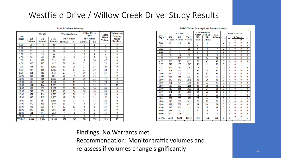#### Westfield Drive / Willow Creek Drive Study Results

#### Table 1: Volume Summary

| Hour         | <b>FM 455</b> |               |                                                      | <b>Westfield Drive</b> |     | <b>Willow Creek</b><br><b>Drive</b> |                | Total<br><b>Minor</b> | Pedestrians<br>Crossing |  |
|--------------|---------------|---------------|------------------------------------------------------|------------------------|-----|-------------------------------------|----------------|-----------------------|-------------------------|--|
| Begin        | ЕB            | <b>WB</b>     | <b>NB</b> Volume<br><b>SB Volume</b><br><b>Total</b> |                        |     | <b>Volume</b>                       | Major          |                       |                         |  |
|              | <b>Volume</b> | <b>Volume</b> | <b>Volume</b>                                        | <b>Thru/LT</b>         | RT  | Thru/LT                             | RT             |                       | Roadway                 |  |
| 0:00         | 38            | 12            | 50                                                   | 1                      | 0   | 0                                   | 1              | 2                     | 0                       |  |
| 1:00         | 12            | 11            | 23                                                   | 0                      | 0   | 1                                   | $\mathbf{0}$   | 1                     | 0                       |  |
| 2:00         | 13            | 15            | 28                                                   | 0                      | 0   | 0                                   | $\Omega$       | $\mathbf{0}$          | 0                       |  |
| 3:00         | 21            | 23            | 44                                                   | 1                      | 1   | 0                                   | 4              | 6                     | 0                       |  |
| 4:00         | 30            | 68            | 98                                                   | 5                      | 0   | 1                                   | 7              | 13                    | 0                       |  |
| 5:00         | 95            | 138           | 233                                                  | 22                     | 1   | 4                                   | 20             | 47                    | 0                       |  |
| 6:00         | 310           | 317           | 627                                                  | 21                     | 14  | 22                                  | 21             | 78                    | 0                       |  |
| 7:00         | 583           | 657           | 1.240                                                | 60                     | 20  | 27                                  | 38             | 145                   | 0                       |  |
| 8:00         | 464           | 616           | 1,080                                                | 37                     | 17  | 21                                  | 36             | 111                   | 2                       |  |
| 9:00         | 411           | 461           | 872                                                  | 27                     | 3   | 10                                  | 14             | 54                    | 0                       |  |
| 10:00        | 425           | 466           | 891                                                  | 30                     | 9   | 16                                  | 16             | 71                    | 0                       |  |
| 11:00        | 523           | 566           | 1.089                                                | 26                     | 14  | 10                                  | 24             | 74                    | $\mathbf{0}$            |  |
| 12:00        | 630           | 541           | 1.171                                                | 37                     | 15  | 9                                   | 17             | 78                    | 0                       |  |
| 13:00        | 591           | 474           | 1.065                                                | 37                     | 12  | 7                                   | 15             | 71                    | 11                      |  |
| 14:00        | 589           | 532           | 1.121                                                | 36                     | 10  | 14                                  | 24             | 84                    | $\mathbf{0}$            |  |
| 15:00        | 747           | 656           | 1.403                                                | 40                     | 24  | 10                                  | 14             | 88                    | $\mathbf{0}$            |  |
| 16:00        | 871           | 764           | 1,635                                                | 43                     | 20  | 13                                  | 19             | 95                    | 0                       |  |
| 17:00        | 945           | 860           | 1.805                                                | 49                     | 30  | 15                                  | 32             | 126                   | 4                       |  |
| 18:00        | 869           | 587           | 1.456                                                | 41                     | 27  | 17                                  | 27             | 112                   | 0                       |  |
| 19:00        | 590           | 359           | 949                                                  | 19                     | 7   | 4                                   | 15             | 45                    | 0                       |  |
| 20:00        | 388           | 229           | 617                                                  | 12                     | 12  | 6                                   | 8              | 38                    | 0                       |  |
| 21:00        | 237           | 151           | 388                                                  | 16                     | 3   | 4                                   | 2              | 25                    | 0                       |  |
| 22:00        | 161           | 91            | 252                                                  | 7                      | 2   | 3                                   | $\overline{2}$ | 14                    | $\mathbf{0}$            |  |
| 23:00        | 91            | 40            | 131                                                  | 4                      | 1   | 0                                   | 2              | 7                     | 0                       |  |
| <b>TOTAL</b> | 9,634         | 8,634         | 18,268                                               | 571                    | 242 | 214                                 | 358            | 1,385                 | 17                      |  |

#### Table 3: Volume for Analysis and Warrant Summary

| Hour         | <b>FM 455</b>       |                            |                               | <b>Westfield Drive/</b><br><b>Willow Creek Dr</b> |                     | Max           | <b>Meets Warrants?</b> |              |   |              |              |
|--------------|---------------------|----------------------------|-------------------------------|---------------------------------------------------|---------------------|---------------|------------------------|--------------|---|--------------|--------------|
| Begin        | ЕB<br><b>Volume</b> | <b>WB</b><br><b>Volume</b> | <b>Total</b><br><b>Volume</b> | NB<br><b>Volume</b>                               | SB<br><b>Volume</b> | <b>Volume</b> | 1A                     | 1B           | A | 1-Combo<br>в | 2            |
| 0:00         | 38                  | 12                         | 50                            | 1                                                 | 1                   | 1             | $\bf{0}$               | 0            | 0 | $\mathbf{0}$ | 0            |
| 1:00         | 12                  | 11                         | 23                            | $\mathbf{0}$                                      | 1                   | 1             | 0                      | 0            | 0 | 0            | 0            |
| 2:00         | 13                  | 15                         | 28                            | 0                                                 | 0                   | 0             | 0                      | $\mathbf{0}$ | 0 | $\mathbf{0}$ | $\bf{0}$     |
| 3:00         | 21                  | 23                         | 44                            | $\overline{2}$                                    | 4                   | 4             | $\mathbf{0}$           | $\mathbf{0}$ | 0 | 0            | $\Omega$     |
| 4:00         | 30                  | 68                         | 98                            | 5                                                 | 8                   | 8             | 0                      | $\mathbf{0}$ | 0 | 0            | 0            |
| 5:00         | 95                  | 138                        | 233                           | 23                                                | 24                  | 24            | $\Omega$               | $\mathbf{0}$ | 0 | 0            | $\mathbf{0}$ |
| 6:00         | 310                 | 317                        | 627                           | 35                                                | 43                  | 43            | 0                      | 0            | 0 | 0            | 0            |
| 7:00         | 583                 | 657                        | 1.240                         | 80                                                | 65                  | 80            | $\bf{0}$               | 1            | 0 | 1            | 1            |
| 8:00         | 464                 | 616                        | 1.080                         | 54                                                | 57                  | 57            | 0                      | 0            | 0 | 1            | 0            |
| 9:00         | 411                 | 461                        | 872                           | 30                                                | 24                  | 30            | $\Omega$               | $\mathbf{0}$ | 0 | 0            | $\Omega$     |
| 10:00        | 425                 | 466                        | 891                           | 39                                                | 32                  | 39            | 0                      | 0            | 0 | 0            | 0            |
| 11:00        | 523                 | 566                        | 1.089                         | 40                                                | 34                  | 40            | 0                      | 0            | 0 | 0            | $\mathbf{0}$ |
| 12:00        | 630                 | 541                        | 1.171                         | 52                                                | 26                  | 52            | $\mathbf{0}$           | $\mathbf{0}$ | 0 | 0            | $\Omega$     |
| 13:00        | 591                 | 474                        | 1.065                         | 49                                                | 22                  | 49            | $\mathbf{0}$           | $\mathbf{0}$ | 0 | $\mathbf{0}$ | 0            |
| 14:00        | 589                 | 532                        | 1.121                         | 46                                                | 38                  | 46            | $\Omega$               | 0            | 0 | 0            | $\mathbf{0}$ |
| 15:00        | 747                 | 656                        | 1.403                         | 64                                                | 24                  | 64            | $\mathbf{0}$           | 0            | 0 | 1            | 0            |
| 16:00        | 871                 | 764                        | 1.635                         | 63                                                | 32                  | 63            | $\Omega$               | 0            | 0 | 1            | $\Omega$     |
| 17:00        | 945                 | 860                        | 1.805                         | 79                                                | 47                  | 79            | 0                      | 1            | 0 | 1            | 0            |
| 18:00        | 869                 | 587                        | 1.456                         | 68                                                | 44                  | 68            | $\mathbf{0}$           | $\mathbf{0}$ | 0 | 1            | $\mathbf{0}$ |
| 19:00        | 590                 | 359                        | 949                           | 26                                                | 19                  | 26            | 0                      | $\mathbf{0}$ | 0 | 0            | $\mathbf{0}$ |
| 20:00        | 388                 | 229                        | 617                           | 24                                                | 14                  | 24            | $\Omega$               | $\mathbf{0}$ | 0 | $\Omega$     | $\Omega$     |
| 21:00        | 237                 | 151                        | 388                           | 19                                                | 6                   | 19            | 0                      | 0            | 0 | 0            | 0            |
| 22:00        | 161                 | 91                         | 252                           | 9                                                 | 5                   | 9             | 0                      | 0            | 0 | 0            | 0            |
| 23:00        | 91                  | 40                         | 131                           | 5                                                 | $\overline{2}$      | 5             | $\Omega$               | $\mathbf{0}$ | 0 | 0            | $\Omega$     |
| <b>TOTAL</b> | 9,634               | 8,634                      | 18,268                        | 813                                               | 572                 | 831           | 0                      | 2            | 0 | 6<br>0       | ı            |

Findings: No Warrants met Recommendation: Monitor traffic volumes and re-assess if volumes change significantly